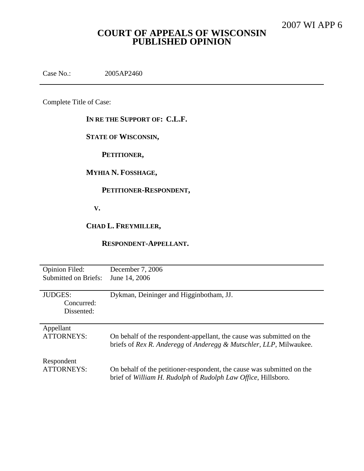# **COURT OF APPEALS OF WISCONSIN PUBLISHED OPINION**

Case No.: 2005AP2460

Complete Title of Case:

**IN RE THE SUPPORT OF: C.L.F.**

**STATE OF WISCONSIN,**

**PETITIONER,**

**MYHIA N. FOSSHAGE,**

## **PETITIONER-RESPONDENT,**

**V.**

**CHAD L. FREYMILLER,**

**RESPONDENT-APPELLANT.**

| <b>Opinion Filed:</b>               | December 7, 2006                                                       |
|-------------------------------------|------------------------------------------------------------------------|
| <b>Submitted on Briefs:</b>         | June 14, 2006                                                          |
| JUDGES:<br>Concurred:<br>Dissented: | Dykman, Deininger and Higginbotham, JJ.                                |
| Appellant                           | On behalf of the respondent-appellant, the cause was submitted on the  |
| <b>ATTORNEYS:</b>                   | briefs of Rex R. Anderegg of Anderegg & Mutschler, LLP, Milwaukee.     |
| Respondent                          | On behalf of the petitioner-respondent, the cause was submitted on the |
| ATTORNEYS:                          | brief of William H. Rudolph of Rudolph Law Office, Hillsboro.          |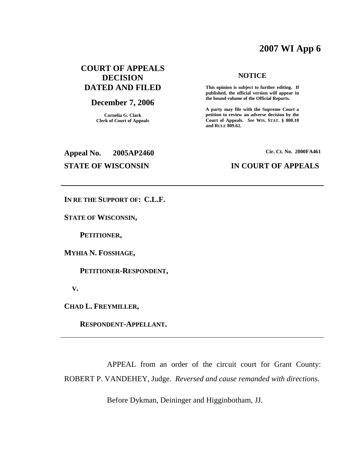# **2007 WI App 6**

# **COURT OF APPEALS DECISION DATED AND FILED**

### **December 7, 2006**

**Cornelia G. Clark Clerk of Court of Appeals**

### **NOTICE**

**This opinion is subject to further editing. If published, the official version will appear in the bound volume of the Official Reports.**

**A party may file with the Supreme Court a petition to review an adverse decision by the Court of Appeals.** *See* **WIS. STAT. § 808.10 and RULE 809.62.**

**Appeal No. 2005AP2460**

**Cir. Ct. No. 2000FA461**

### **STATE OF WISCONSIN IN COURT OF APPEALS**

**IN RE THE SUPPORT OF: C.L.F.**

**STATE OF WISCONSIN,**

**PETITIONER,**

**MYHIA N. FOSSHAGE,**

**PETITIONER-RESPONDENT,**

**V.**

**CHAD L. FREYMILLER,**

**RESPONDENT-APPELLANT.**

APPEAL from an order of the circuit court for Grant County: ROBERT P. VANDEHEY, Judge. *Reversed and cause remanded with directions*.

Before Dykman, Deininger and Higginbotham, JJ.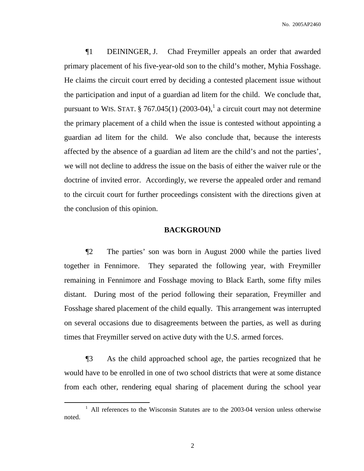¶1 DEININGER, J. Chad Freymiller appeals an order that awarded primary placement of his five-year-old son to the child's mother, Myhia Fosshage. He claims the circuit court erred by deciding a contested placement issue without the participation and input of a guardian ad litem for the child. We conclude that, pursuant to WIS. STAT.  $\S 767.045(1)$  (2003-04),<sup>1</sup> a circuit court may not determine the primary placement of a child when the issue is contested without appointing a guardian ad litem for the child. We also conclude that, because the interests affected by the absence of a guardian ad litem are the child's and not the parties', we will not decline to address the issue on the basis of either the waiver rule or the doctrine of invited error. Accordingly, we reverse the appealed order and remand to the circuit court for further proceedings consistent with the directions given at the conclusion of this opinion.

### **BACKGROUND**

¶2 The parties' son was born in August 2000 while the parties lived together in Fennimore. They separated the following year, with Freymiller remaining in Fennimore and Fosshage moving to Black Earth, some fifty miles distant. During most of the period following their separation, Freymiller and Fosshage shared placement of the child equally. This arrangement was interrupted on several occasions due to disagreements between the parties, as well as during times that Freymiller served on active duty with the U.S. armed forces.

¶3 As the child approached school age, the parties recognized that he would have to be enrolled in one of two school districts that were at some distance from each other, rendering equal sharing of placement during the school year

 $1$  All references to the Wisconsin Statutes are to the 2003-04 version unless otherwise noted.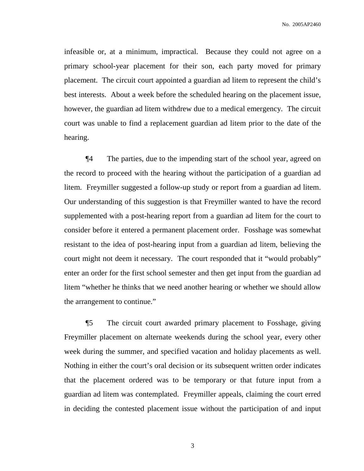No. 2005AP2460

infeasible or, at a minimum, impractical. Because they could not agree on a primary school-year placement for their son, each party moved for primary placement. The circuit court appointed a guardian ad litem to represent the child's best interests. About a week before the scheduled hearing on the placement issue, however, the guardian ad litem withdrew due to a medical emergency. The circuit court was unable to find a replacement guardian ad litem prior to the date of the hearing.

¶4 The parties, due to the impending start of the school year, agreed on the record to proceed with the hearing without the participation of a guardian ad litem. Freymiller suggested a follow-up study or report from a guardian ad litem. Our understanding of this suggestion is that Freymiller wanted to have the record supplemented with a post-hearing report from a guardian ad litem for the court to consider before it entered a permanent placement order. Fosshage was somewhat resistant to the idea of post-hearing input from a guardian ad litem, believing the court might not deem it necessary. The court responded that it "would probably" enter an order for the first school semester and then get input from the guardian ad litem "whether he thinks that we need another hearing or whether we should allow the arrangement to continue."

¶5 The circuit court awarded primary placement to Fosshage, giving Freymiller placement on alternate weekends during the school year, every other week during the summer, and specified vacation and holiday placements as well. Nothing in either the court's oral decision or its subsequent written order indicates that the placement ordered was to be temporary or that future input from a guardian ad litem was contemplated. Freymiller appeals, claiming the court erred in deciding the contested placement issue without the participation of and input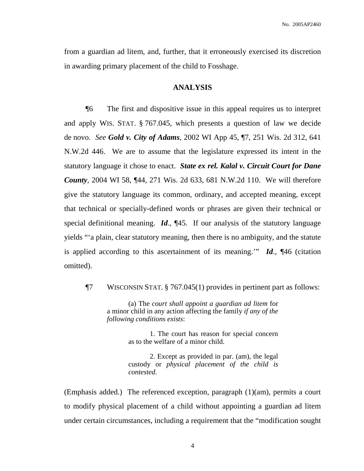from a guardian ad litem, and, further, that it erroneously exercised its discretion in awarding primary placement of the child to Fosshage.

### **ANALYSIS**

¶6 The first and dispositive issue in this appeal requires us to interpret and apply WIS. STAT. § 767.045, which presents a question of law we decide de novo. *See Gold v. City of Adams*, 2002 WI App 45, ¶7, 251 Wis. 2d 312, 641 N.W.2d 446. We are to assume that the legislature expressed its intent in the statutory language it chose to enact. *State ex rel. Kalal v. Circuit Court for Dane County,* 2004 WI 58, ¶44, 271 Wis. 2d 633, 681 N.W.2d 110. We will therefore give the statutory language its common, ordinary, and accepted meaning, except that technical or specially-defined words or phrases are given their technical or special definitional meaning. *Id*., ¶45. If our analysis of the statutory language yields "'a plain, clear statutory meaning, then there is no ambiguity, and the statute is applied according to this ascertainment of its meaning.'" *Id*., ¶46 (citation omitted).

¶7 WISCONSIN STAT. § 767.045(1) provides in pertinent part as follows:

(a) The *court shall appoint a guardian ad litem* for a minor child in any action affecting the family *if any of the following conditions exists*:

> 1. The court has reason for special concern as to the welfare of a minor child.

> 2. Except as provided in par. (am), the legal custody or *physical placement of the child is contested*.

(Emphasis added.) The referenced exception, paragraph (1)(am), permits a court to modify physical placement of a child without appointing a guardian ad litem under certain circumstances, including a requirement that the "modification sought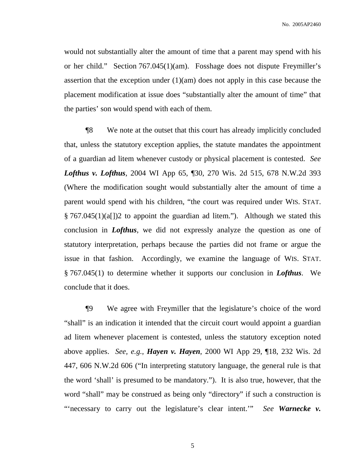would not substantially alter the amount of time that a parent may spend with his or her child." Section 767.045(1)(am). Fosshage does not dispute Freymiller's assertion that the exception under  $(1)(am)$  does not apply in this case because the placement modification at issue does "substantially alter the amount of time" that the parties' son would spend with each of them.

¶8 We note at the outset that this court has already implicitly concluded that, unless the statutory exception applies, the statute mandates the appointment of a guardian ad litem whenever custody or physical placement is contested. *See Lofthus v. Lofthus*, 2004 WI App 65, ¶30, 270 Wis. 2d 515, 678 N.W.2d 393 (Where the modification sought would substantially alter the amount of time a parent would spend with his children, "the court was required under WIS. STAT. § 767.045(1)(a[])2 to appoint the guardian ad litem."). Although we stated this conclusion in *Lofthus*, we did not expressly analyze the question as one of statutory interpretation, perhaps because the parties did not frame or argue the issue in that fashion. Accordingly, we examine the language of WIS. STAT. § 767.045(1) to determine whether it supports our conclusion in *Lofthus*. We conclude that it does.

¶9 We agree with Freymiller that the legislature's choice of the word "shall" is an indication it intended that the circuit court would appoint a guardian ad litem whenever placement is contested, unless the statutory exception noted above applies. *See, e.g., Hayen v. Hayen*, 2000 WI App 29, ¶18, 232 Wis. 2d 447, 606 N.W.2d 606 ("In interpreting statutory language, the general rule is that the word 'shall' is presumed to be mandatory."). It is also true, however, that the word "shall" may be construed as being only "directory" if such a construction is "'necessary to carry out the legislature's clear intent.'" *See Warnecke v.*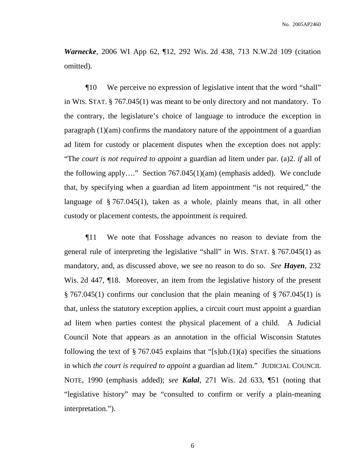*Warnecke*, 2006 WI App 62, ¶12, 292 Wis. 2d 438, 713 N.W.2d 109 (citation omitted).

¶10 We perceive no expression of legislative intent that the word "shall" in WIS. STAT. § 767.045(1) was meant to be only directory and not mandatory. To the contrary, the legislature's choice of language to introduce the exception in paragraph (1)(am) confirms the mandatory nature of the appointment of a guardian ad litem for custody or placement disputes when the exception does not apply: "The *court is not required to appoint* a guardian ad litem under par. (a)2. *if* all of the following apply…." Section 767.045(1)(am) (emphasis added). We conclude that, by specifying when a guardian ad litem appointment "is not required," the language of § 767.045(1), taken as a whole, plainly means that, in all other custody or placement contests, the appointment *is* required.

¶11 We note that Fosshage advances no reason to deviate from the general rule of interpreting the legislative "shall" in WIS. STAT. § 767.045(1) as mandatory, and, as discussed above, we see no reason to do so. *See Hayen*, 232 Wis. 2d 447,  $\P$ 18. Moreover, an item from the legislative history of the present  $\S 767.045(1)$  confirms our conclusion that the plain meaning of  $\S 767.045(1)$  is that, unless the statutory exception applies, a circuit court must appoint a guardian ad litem when parties contest the physical placement of a child. A Judicial Council Note that appears as an annotation in the official Wisconsin Statutes following the text of  $\S 767.045$  explains that "[s]ub.(1)(a) specifies the situations in which *the court is required to appoint* a guardian ad litem." JUDICIAL COUNCIL NOTE, 1990 (emphasis added); *see Kalal*, 271 Wis. 2d 633, ¶51 (noting that "legislative history" may be "consulted to confirm or verify a plain-meaning interpretation.").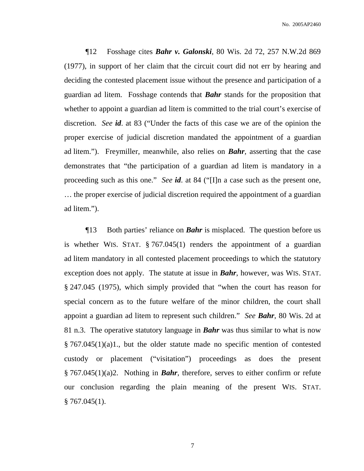¶12 Fosshage cites *Bahr v. Galonski*, 80 Wis. 2d 72, 257 N.W.2d 869 (1977), in support of her claim that the circuit court did not err by hearing and deciding the contested placement issue without the presence and participation of a guardian ad litem. Fosshage contends that *Bahr* stands for the proposition that whether to appoint a guardian ad litem is committed to the trial court's exercise of discretion. *See id*. at 83 ("Under the facts of this case we are of the opinion the proper exercise of judicial discretion mandated the appointment of a guardian ad litem."). Freymiller, meanwhile, also relies on *Bahr*, asserting that the case demonstrates that "the participation of a guardian ad litem is mandatory in a proceeding such as this one." *See id*. at 84 ("[I]n a case such as the present one, … the proper exercise of judicial discretion required the appointment of a guardian ad litem.").

¶13 Both parties' reliance on *Bahr* is misplaced. The question before us is whether WIS. STAT. § 767.045(1) renders the appointment of a guardian ad litem mandatory in all contested placement proceedings to which the statutory exception does not apply. The statute at issue in *Bahr*, however, was WIS. STAT. § 247.045 (1975), which simply provided that "when the court has reason for special concern as to the future welfare of the minor children, the court shall appoint a guardian ad litem to represent such children." *See Bahr*, 80 Wis. 2d at 81 n.3. The operative statutory language in *Bahr* was thus similar to what is now § 767.045(1)(a)1., but the older statute made no specific mention of contested custody or placement ("visitation") proceedings as does the present § 767.045(1)(a)2. Nothing in *Bahr*, therefore, serves to either confirm or refute our conclusion regarding the plain meaning of the present WIS. STAT.  $§ 767.045(1).$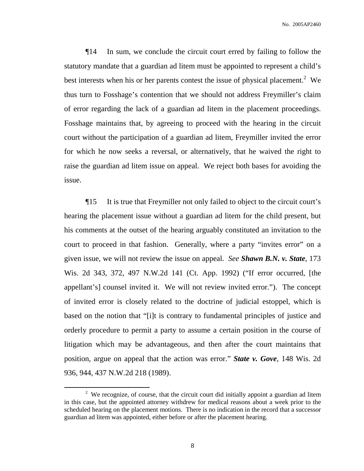¶14 In sum, we conclude the circuit court erred by failing to follow the statutory mandate that a guardian ad litem must be appointed to represent a child's best interests when his or her parents contest the issue of physical placement.<sup>2</sup> We thus turn to Fosshage's contention that we should not address Freymiller's claim of error regarding the lack of a guardian ad litem in the placement proceedings. Fosshage maintains that, by agreeing to proceed with the hearing in the circuit court without the participation of a guardian ad litem, Freymiller invited the error for which he now seeks a reversal, or alternatively, that he waived the right to raise the guardian ad litem issue on appeal. We reject both bases for avoiding the issue.

¶15 It is true that Freymiller not only failed to object to the circuit court's hearing the placement issue without a guardian ad litem for the child present, but his comments at the outset of the hearing arguably constituted an invitation to the court to proceed in that fashion. Generally, where a party "invites error" on a given issue, we will not review the issue on appeal. *See Shawn B.N. v. State*, 173 Wis. 2d 343, 372, 497 N.W.2d 141 (Ct. App. 1992) ("If error occurred, [the appellant's] counsel invited it. We will not review invited error."). The concept of invited error is closely related to the doctrine of judicial estoppel, which is based on the notion that "[i]t is contrary to fundamental principles of justice and orderly procedure to permit a party to assume a certain position in the course of litigation which may be advantageous, and then after the court maintains that position, argue on appeal that the action was error." *State v. Gove*, 148 Wis. 2d 936, 944, 437 N.W.2d 218 (1989).

<sup>&</sup>lt;sup>2</sup> We recognize, of course, that the circuit court did initially appoint a guardian ad litem in this case, but the appointed attorney withdrew for medical reasons about a week prior to the scheduled hearing on the placement motions. There is no indication in the record that a successor guardian ad litem was appointed, either before or after the placement hearing.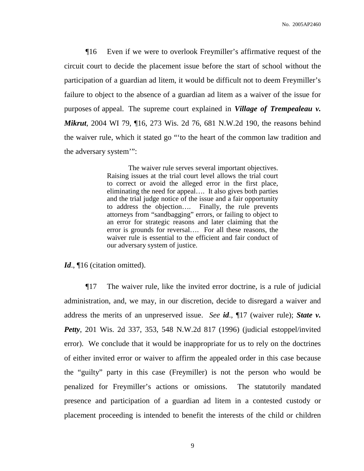¶16 Even if we were to overlook Freymiller's affirmative request of the circuit court to decide the placement issue before the start of school without the participation of a guardian ad litem, it would be difficult not to deem Freymiller's failure to object to the absence of a guardian ad litem as a waiver of the issue for purposes of appeal. The supreme court explained in *Village of Trempealeau v. Mikrut*, 2004 WI 79, ¶16, 273 Wis. 2d 76, 681 N.W.2d 190, the reasons behind the waiver rule, which it stated go "'to the heart of the common law tradition and the adversary system'":

> The waiver rule serves several important objectives. Raising issues at the trial court level allows the trial court to correct or avoid the alleged error in the first place, eliminating the need for appeal…. It also gives both parties and the trial judge notice of the issue and a fair opportunity to address the objection…. Finally, the rule prevents attorneys from "sandbagging" errors, or failing to object to an error for strategic reasons and later claiming that the error is grounds for reversal…. For all these reasons, the waiver rule is essential to the efficient and fair conduct of our adversary system of justice.

*Id.*, 16 (citation omitted).

¶17 The waiver rule, like the invited error doctrine, is a rule of judicial administration, and, we may, in our discretion, decide to disregard a waiver and address the merits of an unpreserved issue. *See id*., ¶17 (waiver rule); *State v. Petty*, 201 Wis. 2d 337, 353, 548 N.W.2d 817 (1996) (judicial estoppel/invited error). We conclude that it would be inappropriate for us to rely on the doctrines of either invited error or waiver to affirm the appealed order in this case because the "guilty" party in this case (Freymiller) is not the person who would be penalized for Freymiller's actions or omissions. The statutorily mandated presence and participation of a guardian ad litem in a contested custody or placement proceeding is intended to benefit the interests of the child or children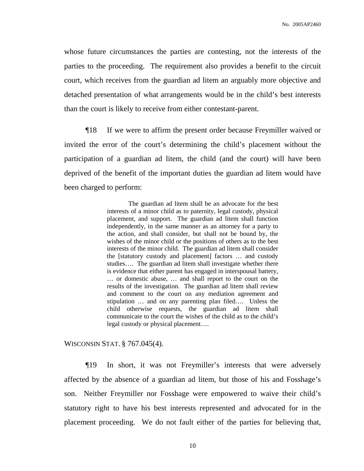whose future circumstances the parties are contesting, not the interests of the parties to the proceeding. The requirement also provides a benefit to the circuit court, which receives from the guardian ad litem an arguably more objective and detached presentation of what arrangements would be in the child's best interests than the court is likely to receive from either contestant-parent.

¶18 If we were to affirm the present order because Freymiller waived or invited the error of the court's determining the child's placement without the participation of a guardian ad litem, the child (and the court) will have been deprived of the benefit of the important duties the guardian ad litem would have been charged to perform:

> The guardian ad litem shall be an advocate for the best interests of a minor child as to paternity, legal custody, physical placement, and support. The guardian ad litem shall function independently, in the same manner as an attorney for a party to the action, and shall consider, but shall not be bound by, the wishes of the minor child or the positions of others as to the best interests of the minor child. The guardian ad litem shall consider the [statutory custody and placement] factors … and custody studies…. The guardian ad litem shall investigate whether there is evidence that either parent has engaged in interspousal battery, … or domestic abuse, … and shall report to the court on the results of the investigation. The guardian ad litem shall review and comment to the court on any mediation agreement and stipulation … and on any parenting plan filed…. Unless the child otherwise requests, the guardian ad litem shall communicate to the court the wishes of the child as to the child's legal custody or physical placement….

WISCONSIN STAT. § 767.045(4).

¶19 In short, it was not Freymiller's interests that were adversely affected by the absence of a guardian ad litem, but those of his and Fosshage's son. Neither Freymiller nor Fosshage were empowered to waive their child's statutory right to have his best interests represented and advocated for in the placement proceeding. We do not fault either of the parties for believing that,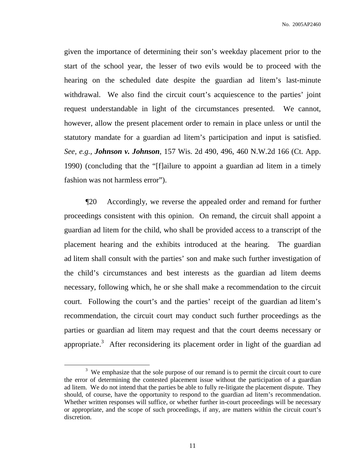given the importance of determining their son's weekday placement prior to the start of the school year, the lesser of two evils would be to proceed with the hearing on the scheduled date despite the guardian ad litem's last-minute withdrawal. We also find the circuit court's acquiescence to the parties' joint request understandable in light of the circumstances presented. We cannot, however, allow the present placement order to remain in place unless or until the statutory mandate for a guardian ad litem's participation and input is satisfied. *See, e.g., Johnson v. Johnson*, 157 Wis. 2d 490, 496, 460 N.W.2d 166 (Ct. App. 1990) (concluding that the "[f]ailure to appoint a guardian ad litem in a timely fashion was not harmless error").

¶20 Accordingly, we reverse the appealed order and remand for further proceedings consistent with this opinion. On remand, the circuit shall appoint a guardian ad litem for the child, who shall be provided access to a transcript of the placement hearing and the exhibits introduced at the hearing. The guardian ad litem shall consult with the parties' son and make such further investigation of the child's circumstances and best interests as the guardian ad litem deems necessary, following which, he or she shall make a recommendation to the circuit court. Following the court's and the parties' receipt of the guardian ad litem's recommendation, the circuit court may conduct such further proceedings as the parties or guardian ad litem may request and that the court deems necessary or appropriate.<sup>3</sup> After reconsidering its placement order in light of the guardian ad

 $3\,$  We emphasize that the sole purpose of our remand is to permit the circuit court to cure the error of determining the contested placement issue without the participation of a guardian ad litem. We do not intend that the parties be able to fully re-litigate the placement dispute. They should, of course, have the opportunity to respond to the guardian ad litem's recommendation. Whether written responses will suffice, or whether further in-court proceedings will be necessary or appropriate, and the scope of such proceedings, if any, are matters within the circuit court's discretion.